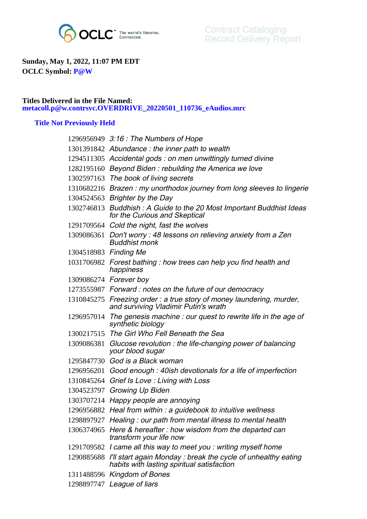

## **Sunday, May 1, 2022, 11:07 PM EDT OCLC Symbol: P@W**

## **Titles Delivered in the File Named: metacoll.p@w.contrsvc.OVERDRIVE\_20220501\_110736\_eAudios.mrc**

## **Title Not Previously Held**

|                       | 1296956949 3:16 : The Numbers of Hope                                                                                 |
|-----------------------|-----------------------------------------------------------------------------------------------------------------------|
|                       | 1301391842 Abundance: the inner path to wealth                                                                        |
|                       | 1294511305 Accidental gods: on men unwittingly turned divine                                                          |
|                       | 1282195160 Beyond Biden: rebuilding the America we love                                                               |
|                       | 1302597163 The book of living secrets                                                                                 |
|                       | 1310682216 Brazen: my unorthodox journey from long sleeves to lingerie                                                |
|                       | 1304524563 Brighter by the Day                                                                                        |
|                       | 1302746813 Buddhish: A Guide to the 20 Most Important Buddhist Ideas<br>for the Curious and Skeptical                 |
|                       | 1291709564 Cold the night, fast the wolves                                                                            |
|                       | 1309086361 Don't worry: 48 lessons on relieving anxiety from a Zen<br><b>Buddhist monk</b>                            |
| 1304518983 Finding Me |                                                                                                                       |
|                       | 1031706982 Forest bathing: how trees can help you find health and<br>happiness                                        |
|                       | 1309086274 Forever boy                                                                                                |
|                       | 1273555987 Forward: notes on the future of our democracy                                                              |
|                       | 1310845275 Freezing order: a true story of money laundering, murder,<br>and surviving Vladimir Putin's wrath          |
|                       | 1296957014 The genesis machine : our quest to rewrite life in the age of<br>synthetic biology                         |
|                       | 1300217515 The Girl Who Fell Beneath the Sea                                                                          |
| 1309086381            | Glucose revolution: the life-changing power of balancing<br>your blood sugar                                          |
|                       | 1295847730 God is a Black woman                                                                                       |
| 1296956201            | Good enough : 40ish devotionals for a life of imperfection                                                            |
| 1310845264            | Grief Is Love: Living with Loss                                                                                       |
| 1304523797            | Growing Up Biden                                                                                                      |
| 1303707214            | Happy people are annoying                                                                                             |
| 1296956882            | Heal from within : a guidebook to intuitive wellness                                                                  |
|                       | 1298897927 Healing: our path from mental illness to mental health                                                     |
|                       | 1306374965 Here & hereafter: how wisdom from the departed can<br>transform your life now                              |
|                       | 1291709582 I came all this way to meet you: writing myself home                                                       |
|                       | 1290885688 I'll start again Monday: break the cycle of unhealthy eating<br>habits with lasting spiritual satisfaction |
|                       | 1311488596 Kingdom of Bones                                                                                           |
|                       | 1298897747 League of liars                                                                                            |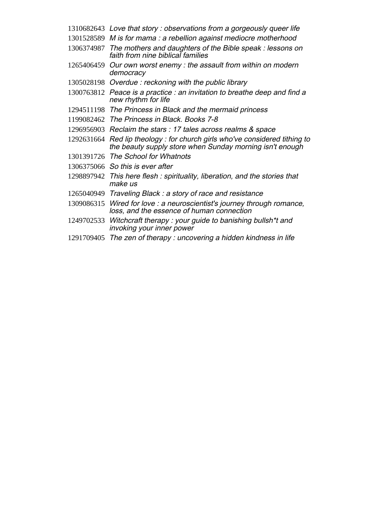- Love that story : observations from a gorgeously queer life
- M is for mama : a rebellion against mediocre motherhood
- The mothers and daughters of the Bible speak : lessons on faith from nine biblical families
- Our own worst enemy : the assault from within on modern democracy
- Overdue : reckoning with the public library
- Peace is a practice : an invitation to breathe deep and find a new rhythm for life
- The Princess in Black and the mermaid princess
- The Princess in Black. Books 7-8
- Reclaim the stars : 17 tales across realms & space
- Red lip theology : for church girls who've considered tithing to the beauty supply store when Sunday morning isn't enough
- The School for Whatnots
- So this is ever after
- This here flesh : spirituality, liberation, and the stories that make us
- Traveling Black : a story of race and resistance
- Wired for love : a neuroscientist's journey through romance, loss, and the essence of human connection
- Witchcraft therapy : your guide to banishing bullsh\*t and invoking your inner power
- The zen of therapy : uncovering a hidden kindness in life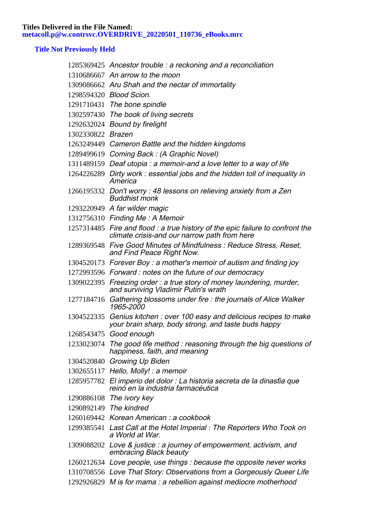## **Title Not Previously Held**

|                   | 1285369425 Ancestor trouble : a reckoning and a reconciliation                                                                 |
|-------------------|--------------------------------------------------------------------------------------------------------------------------------|
|                   | 1310686667 An arrow to the moon                                                                                                |
|                   | 1309086662 Aru Shah and the nectar of immortality                                                                              |
|                   | 1298594320 Blood Scion.                                                                                                        |
|                   | 1291710431 The bone spindle                                                                                                    |
|                   | 1302597430 The book of living secrets                                                                                          |
|                   | 1292632024 Bound by firelight                                                                                                  |
| 1302330822 Brazen |                                                                                                                                |
|                   | 1263249449 Cameron Battle and the hidden kingdoms                                                                              |
|                   | 1289499619 Coming Back: (A Graphic Novel)                                                                                      |
|                   | 1311489159 Deaf utopia : a memoir-and a love letter to a way of life                                                           |
|                   | 1264226289 Dirty work: essential jobs and the hidden toll of inequality in<br>America                                          |
|                   | 1266195332 Don't worry: 48 lessons on relieving anxiety from a Zen<br><b>Buddhist monk</b>                                     |
|                   | 1293220949 A far wilder magic                                                                                                  |
|                   | 1312756310 Finding Me: A Memoir                                                                                                |
|                   | 1257314485 Fire and flood : a true history of the epic failure to confront the<br>climate crisis-and our narrow path from here |
|                   | 1289369548 Five Good Minutes of Mindfulness: Reduce Stress, Reset,<br>and Find Peace Right Now.                                |
|                   | 1304520173 Forever Boy: a mother's memoir of autism and finding joy                                                            |
|                   | 1272993596 Forward: notes on the future of our democracy                                                                       |
|                   | 1309022395 Freezing order: a true story of money laundering, murder,<br>and surviving Vladimir Putin's wrath                   |
|                   | 1277184716 Gathering blossoms under fire : the journals of Alice Walker<br>1965-2000                                           |
|                   | 1304522335 Genius kitchen : over 100 easy and delicious recipes to make<br>your brain sharp, body strong, and taste buds happy |
|                   | 1268543475 Good enough                                                                                                         |
|                   | 1233023074 The good life method : reasoning through the big questions of<br>happiness, faith, and meaning                      |
|                   | 1304520840 Growing Up Biden                                                                                                    |
|                   | $1302655117$ Hello, Molly!: a memoir                                                                                           |
|                   | 1285957782 El imperio del dolor : La historia secreta de la dinasfia que<br>reinó en la industria farmacéutica                 |
|                   | 1290886108 The ivory key                                                                                                       |
|                   | 1290892149 The kindred                                                                                                         |
|                   | 1260169442 Korean American : a cookbook                                                                                        |
|                   | 1299385541 Last Call at the Hotel Imperial : The Reporters Who Took on<br>a World at War.                                      |
|                   | 1309088202 Love & justice : a journey of empowerment, activism, and<br>embracing Black beauty                                  |
|                   | 1260212634 Love people, use things : because the opposite never works                                                          |
|                   | 1310708556 Love That Story: Observations from a Gorgeously Queer Life                                                          |
|                   | 1292926829 M is for mama : a rebellion against mediocre motherhood                                                             |